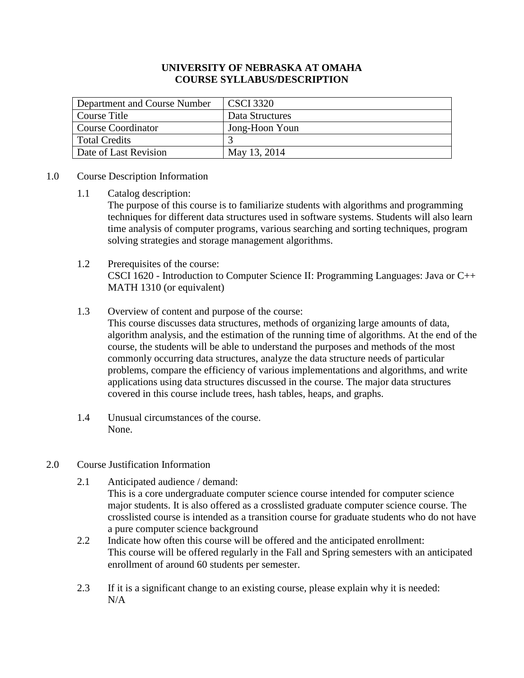#### **UNIVERSITY OF NEBRASKA AT OMAHA COURSE SYLLABUS/DESCRIPTION**

| Department and Course Number | <b>CSCI 3320</b> |
|------------------------------|------------------|
| Course Title                 | Data Structures  |
| <b>Course Coordinator</b>    | Jong-Hoon Youn   |
| <b>Total Credits</b>         |                  |
| Date of Last Revision        | May 13, 2014     |

#### 1.0 Course Description Information

1.1 Catalog description:

The purpose of this course is to familiarize students with algorithms and programming techniques for different data structures used in software systems. Students will also learn time analysis of computer programs, various searching and sorting techniques, program solving strategies and storage management algorithms.

# 1.2 Prerequisites of the course: CSCI 1620 - Introduction to Computer Science II: Programming Languages: Java or C++ MATH 1310 (or equivalent)

1.3 Overview of content and purpose of the course:

This course discusses data structures, methods of organizing large amounts of data, algorithm analysis, and the estimation of the running time of algorithms. At the end of the course, the students will be able to understand the purposes and methods of the most commonly occurring data structures, analyze the data structure needs of particular problems, compare the efficiency of various implementations and algorithms, and write applications using data structures discussed in the course. The major data structures covered in this course include trees, hash tables, heaps, and graphs.

- 1.4 Unusual circumstances of the course. None.
- 2.0 Course Justification Information
	- 2.1 Anticipated audience / demand: This is a core undergraduate computer science course intended for computer science major students. It is also offered as a crosslisted graduate computer science course. The crosslisted course is intended as a transition course for graduate students who do not have
	- a pure computer science background 2.2 Indicate how often this course will be offered and the anticipated enrollment: This course will be offered regularly in the Fall and Spring semesters with an anticipated enrollment of around 60 students per semester.
	- 2.3 If it is a significant change to an existing course, please explain why it is needed: N/A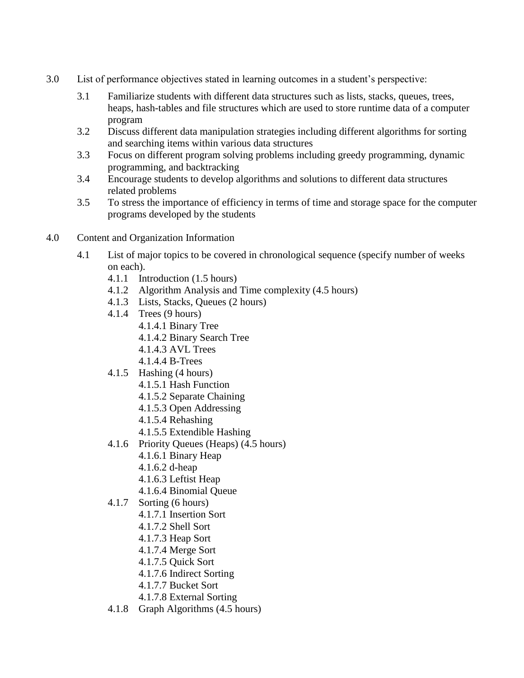- 3.0 List of performance objectives stated in learning outcomes in a student's perspective:
	- 3.1 Familiarize students with different data structures such as lists, stacks, queues, trees, heaps, hash-tables and file structures which are used to store runtime data of a computer program
	- 3.2 Discuss different data manipulation strategies including different algorithms for sorting and searching items within various data structures
	- 3.3 Focus on different program solving problems including greedy programming, dynamic programming, and backtracking
	- 3.4 Encourage students to develop algorithms and solutions to different data structures related problems
	- 3.5 To stress the importance of efficiency in terms of time and storage space for the computer programs developed by the students
- 4.0 Content and Organization Information
	- 4.1 List of major topics to be covered in chronological sequence (specify number of weeks on each).
		- 4.1.1 Introduction (1.5 hours)
		- 4.1.2 Algorithm Analysis and Time complexity (4.5 hours)
		- 4.1.3 Lists, Stacks, Queues (2 hours)
		- 4.1.4 Trees (9 hours)
			- 4.1.4.1 Binary Tree
			- 4.1.4.2 Binary Search Tree
			- 4.1.4.3 AVL Trees
			- 4.1.4.4 B-Trees
		- 4.1.5 Hashing (4 hours)
			- 4.1.5.1 Hash Function
			- 4.1.5.2 Separate Chaining
			- 4.1.5.3 Open Addressing
			- 4.1.5.4 Rehashing
			- 4.1.5.5 Extendible Hashing
		- 4.1.6 Priority Queues (Heaps) (4.5 hours)
			- 4.1.6.1 Binary Heap
			- 4.1.6.2 d-heap
			- 4.1.6.3 Leftist Heap
			- 4.1.6.4 Binomial Queue
		- 4.1.7 Sorting (6 hours)
			- 4.1.7.1 Insertion Sort
			- 4.1.7.2 Shell Sort
			- 4.1.7.3 Heap Sort
			- 4.1.7.4 Merge Sort
			- 4.1.7.5 Quick Sort
			- 4.1.7.6 Indirect Sorting
			- 4.1.7.7 Bucket Sort
			- 4.1.7.8 External Sorting
		- 4.1.8 Graph Algorithms (4.5 hours)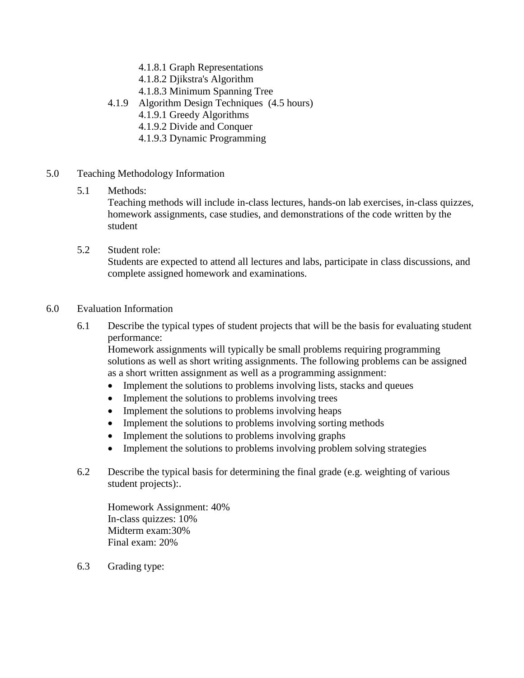- 4.1.8.1 Graph Representations
- 4.1.8.2 Djikstra's Algorithm
- 4.1.8.3 Minimum Spanning Tree
- 4.1.9 Algorithm Design Techniques (4.5 hours)
	- 4.1.9.1 Greedy Algorithms
	- 4.1.9.2 Divide and Conquer
	- 4.1.9.3 Dynamic Programming
- 5.0 Teaching Methodology Information

#### 5.1 Methods:

Teaching methods will include in-class lectures, hands-on lab exercises, in-class quizzes, homework assignments, case studies, and demonstrations of the code written by the student

5.2 Student role:

Students are expected to attend all lectures and labs, participate in class discussions, and complete assigned homework and examinations.

#### 6.0 Evaluation Information

6.1 Describe the typical types of student projects that will be the basis for evaluating student performance:

Homework assignments will typically be small problems requiring programming solutions as well as short writing assignments. The following problems can be assigned as a short written assignment as well as a programming assignment:

- Implement the solutions to problems involving lists, stacks and queues
- Implement the solutions to problems involving trees
- Implement the solutions to problems involving heaps
- Implement the solutions to problems involving sorting methods
- Implement the solutions to problems involving graphs
- Implement the solutions to problems involving problem solving strategies
- 6.2 Describe the typical basis for determining the final grade (e.g. weighting of various student projects):.

Homework Assignment: 40% In-class quizzes: 10% Midterm exam:30% Final exam: 20%

6.3 Grading type: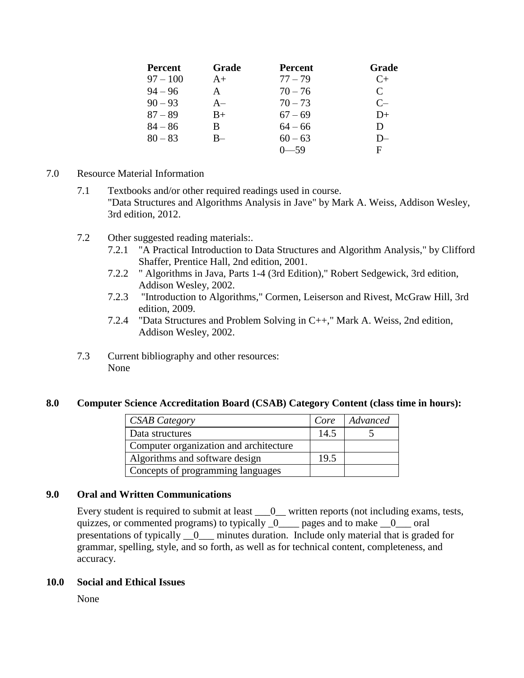| <b>Percent</b> | Grade | <b>Percent</b> | Grade                       |
|----------------|-------|----------------|-----------------------------|
| $97 - 100$     | $A+$  | $77 - 79$      | $C_{+}$                     |
| $94 - 96$      | A     | $70 - 76$      | $\mathcal{C}_{\mathcal{C}}$ |
| $90 - 93$      | $A-$  | $70 - 73$      | $C-$                        |
| $87 - 89$      | $B+$  | $67 - 69$      | $D+$                        |
| $84 - 86$      | B     | $64 - 66$      | D                           |
| $80 - 83$      | $B-$  | $60 - 63$      | $D-$                        |
|                |       |                | F                           |

- 7.0 Resource Material Information
	- 7.1 Textbooks and/or other required readings used in course. "Data Structures and Algorithms Analysis in Jave" by Mark A. Weiss, Addison Wesley, 3rd edition, 2012.
	- 7.2 Other suggested reading materials:.
		- 7.2.1 "A Practical Introduction to Data Structures and Algorithm Analysis," by Clifford Shaffer, Prentice Hall, 2nd edition, 2001.
		- 7.2.2 " Algorithms in Java, Parts 1-4 (3rd Edition)," Robert Sedgewick, 3rd edition, Addison Wesley, 2002.
		- 7.2.3 "Introduction to Algorithms," Cormen, Leiserson and Rivest, McGraw Hill, 3rd edition, 2009.
		- 7.2.4 "Data Structures and Problem Solving in C++," Mark A. Weiss, 2nd edition, Addison Wesley, 2002.
	- 7.3 Current bibliography and other resources: None

#### **8.0 Computer Science Accreditation Board (CSAB) Category Content (class time in hours):**

| <b>CSAB</b> Category                   | Core | Advanced |
|----------------------------------------|------|----------|
| Data structures                        | 14.5 |          |
| Computer organization and architecture |      |          |
| Algorithms and software design         | 19.5 |          |
| Concepts of programming languages      |      |          |

# **9.0 Oral and Written Communications**

Every student is required to submit at least  $\_\_0$  written reports (not including exams, tests, quizzes, or commented programs) to typically  $\theta$  pages and to make  $\theta$  oral presentations of typically \_\_0\_\_\_ minutes duration. Include only material that is graded for grammar, spelling, style, and so forth, as well as for technical content, completeness, and accuracy.

#### **10.0 Social and Ethical Issues**

None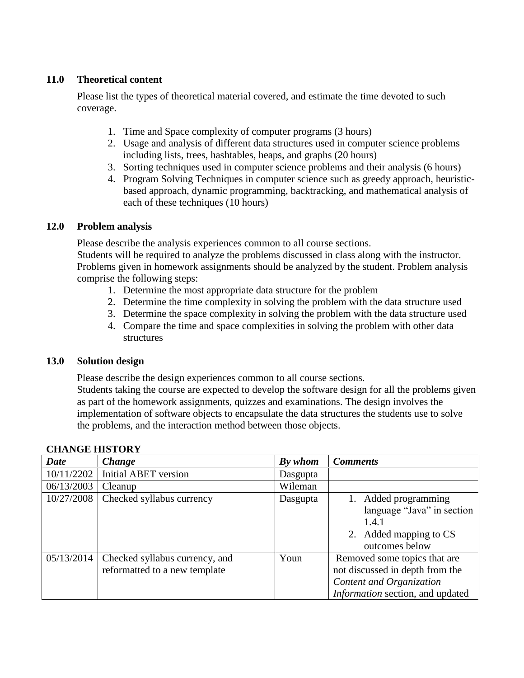# **11.0 Theoretical content**

Please list the types of theoretical material covered, and estimate the time devoted to such coverage.

- 1. Time and Space complexity of computer programs (3 hours)
- 2. Usage and analysis of different data structures used in computer science problems including lists, trees, hashtables, heaps, and graphs (20 hours)
- 3. Sorting techniques used in computer science problems and their analysis (6 hours)
- 4. Program Solving Techniques in computer science such as greedy approach, heuristicbased approach, dynamic programming, backtracking, and mathematical analysis of each of these techniques (10 hours)

# **12.0 Problem analysis**

Please describe the analysis experiences common to all course sections. Students will be required to analyze the problems discussed in class along with the instructor. Problems given in homework assignments should be analyzed by the student. Problem analysis comprise the following steps:

- 1. Determine the most appropriate data structure for the problem
- 2. Determine the time complexity in solving the problem with the data structure used
- 3. Determine the space complexity in solving the problem with the data structure used
- 4. Compare the time and space complexities in solving the problem with other data structures

# **13.0 Solution design**

Please describe the design experiences common to all course sections. Students taking the course are expected to develop the software design for all the problems given as part of the homework assignments, quizzes and examinations. The design involves the implementation of software objects to encapsulate the data structures the students use to solve the problems, and the interaction method between those objects.

| <b>Date</b> | Change                                                          | By whom  | <b>Comments</b>                                                                                                                 |
|-------------|-----------------------------------------------------------------|----------|---------------------------------------------------------------------------------------------------------------------------------|
| 10/11/2202  | <b>Initial ABET</b> version                                     | Dasgupta |                                                                                                                                 |
| 06/13/2003  | Cleanup                                                         | Wileman  |                                                                                                                                 |
| 10/27/2008  | Checked syllabus currency                                       | Dasgupta | 1. Added programming<br>language "Java" in section<br>1.4.1<br>2. Added mapping to CS<br>outcomes below                         |
| 05/13/2014  | Checked syllabus currency, and<br>reformatted to a new template | Youn     | Removed some topics that are<br>not discussed in depth from the<br>Content and Organization<br>Information section, and updated |

# **CHANGE HISTORY**